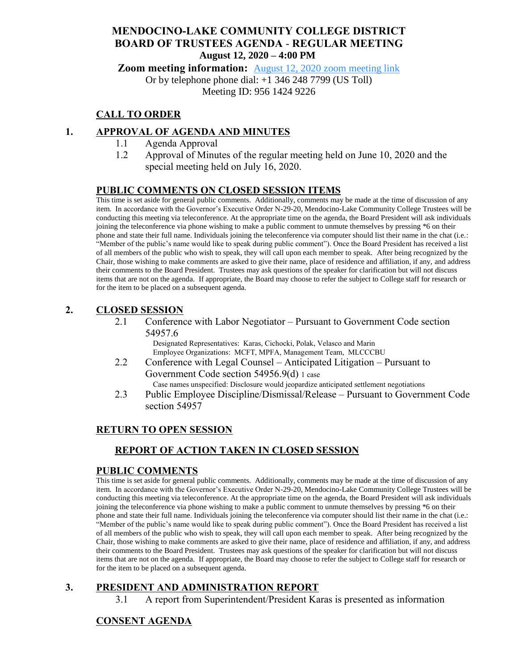## **MENDOCINO-LAKE COMMUNITY COLLEGE DISTRICT BOARD OF TRUSTEES AGENDA** - **REGULAR MEETING August 12, 2020 – 4:00 PM**

**Zoom meeting information:** [August 12, 2020 zoom meeting link](https://cccconfer.zoom.us/s/95614249226)

Or by telephone phone dial: +1 346 248 7799 (US Toll)

Meeting ID: 956 1424 9226

# **CALL TO ORDER**

## **1. APPROVAL OF AGENDA AND MINUTES**

- 1.1 Agenda Approval
- 1.2 Approval of Minutes of the regular meeting held on June 10, 2020 and the special meeting held on July 16, 2020.

### **PUBLIC COMMENTS ON CLOSED SESSION ITEMS**

This time is set aside for general public comments. Additionally, comments may be made at the time of discussion of any item. In accordance with the Governor's Executive Order N-29-20, Mendocino-Lake Community College Trustees will be conducting this meeting via teleconference. At the appropriate time on the agenda, the Board President will ask individuals joining the teleconference via phone wishing to make a public comment to unmute themselves by pressing \*6 on their phone and state their full name. Individuals joining the teleconference via computer should list their name in the chat (i.e.: "Member of the public's name would like to speak during public comment"). Once the Board President has received a list of all members of the public who wish to speak, they will call upon each member to speak. After being recognized by the Chair, those wishing to make comments are asked to give their name, place of residence and affiliation, if any, and address their comments to the Board President. Trustees may ask questions of the speaker for clarification but will not discuss items that are not on the agenda. If appropriate, the Board may choose to refer the subject to College staff for research or for the item to be placed on a subsequent agenda.

### **2. CLOSED SESSION**

2.1 Conference with Labor Negotiator – Pursuant to Government Code section 54957.6

> Designated Representatives: Karas, Cichocki, Polak, Velasco and Marin Employee Organizations: MCFT, MPFA, Management Team, MLCCCBU

2.2 Conference with Legal Counsel – Anticipated Litigation – Pursuant to Government Code section 54956.9(d) 1 case

Case names unspecified: Disclosure would jeopardize anticipated settlement negotiations

2.3 Public Employee Discipline/Dismissal/Release – Pursuant to Government Code section 54957

### **RETURN TO OPEN SESSION**

### **REPORT OF ACTION TAKEN IN CLOSED SESSION**

#### **PUBLIC COMMENTS**

This time is set aside for general public comments. Additionally, comments may be made at the time of discussion of any item. In accordance with the Governor's Executive Order N-29-20, Mendocino-Lake Community College Trustees will be conducting this meeting via teleconference. At the appropriate time on the agenda, the Board President will ask individuals joining the teleconference via phone wishing to make a public comment to unmute themselves by pressing \*6 on their phone and state their full name. Individuals joining the teleconference via computer should list their name in the chat (i.e.: "Member of the public's name would like to speak during public comment"). Once the Board President has received a list of all members of the public who wish to speak, they will call upon each member to speak. After being recognized by the Chair, those wishing to make comments are asked to give their name, place of residence and affiliation, if any, and address their comments to the Board President. Trustees may ask questions of the speaker for clarification but will not discuss items that are not on the agenda. If appropriate, the Board may choose to refer the subject to College staff for research or for the item to be placed on a subsequent agenda.

### **3. PRESIDENT AND ADMINISTRATION REPORT**

3.1 A report from Superintendent/President Karas is presented as information

## **CONSENT AGENDA**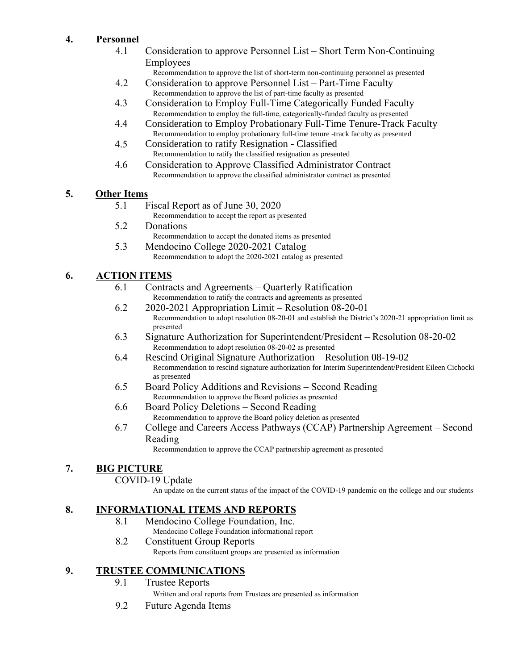# **4. Personnel**

- 4.1 Consideration to approve Personnel List Short Term Non-Continuing Employees
	- Recommendation to approve the list of short-term non-continuing personnel as presented
- 4.2 Consideration to approve Personnel List Part-Time Faculty Recommendation to approve the list of part-time faculty as presented
- 4.3 Consideration to Employ Full-Time Categorically Funded Faculty Recommendation to employ the full-time, categorically-funded faculty as presented
- 4.4 Consideration to Employ Probationary Full-Time Tenure-Track Faculty Recommendation to employ probationary full-time tenure -track faculty as presented
- 4.5 Consideration to ratify Resignation Classified Recommendation to ratify the classified resignation as presented
- 4.6 Consideration to Approve Classified Administrator Contract Recommendation to approve the classified administrator contract as presented

## **5. Other Items**

- 5.1 Fiscal Report as of June 30, 2020
	- Recommendation to accept the report as presented
- 5.2 Donations
	- Recommendation to accept the donated items as presented
- 5.3 Mendocino College 2020-2021 Catalog Recommendation to adopt the 2020-2021 catalog as presented

## **6. ACTION ITEMS**

- 6.1 Contracts and Agreements Quarterly Ratification Recommendation to ratify the contracts and agreements as presented
- 6.2 2020-2021 Appropriation Limit Resolution 08-20-01 Recommendation to adopt resolution 08-20-01 and establish the District's 2020-21 appropriation limit as presented
- 6.3 Signature Authorization for Superintendent/President Resolution 08-20-02 Recommendation to adopt resolution 08-20-02 as presented
- 6.4 Rescind Original Signature Authorization Resolution 08-19-02 Recommendation to rescind signature authorization for Interim Superintendent/President Eileen Cichocki as presented
- 6.5 Board Policy Additions and Revisions Second Reading Recommendation to approve the Board policies as presented
- 6.6 Board Policy Deletions Second Reading Recommendation to approve the Board policy deletion as presented
- 6.7 College and Careers Access Pathways (CCAP) Partnership Agreement Second Reading

Recommendation to approve the CCAP partnership agreement as presented

## **7. BIG PICTURE**

### COVID-19 Update

An update on the current status of the impact of the COVID-19 pandemic on the college and our students

## **8. INFORMATIONAL ITEMS AND REPORTS**

- 8.1 Mendocino College Foundation, Inc. Mendocino College Foundation informational report
- 8.2 Constituent Group Reports Reports from constituent groups are presented as information

### **9. TRUSTEE COMMUNICATIONS**

9.1 Trustee Reports

Written and oral reports from Trustees are presented as information

9.2 Future Agenda Items